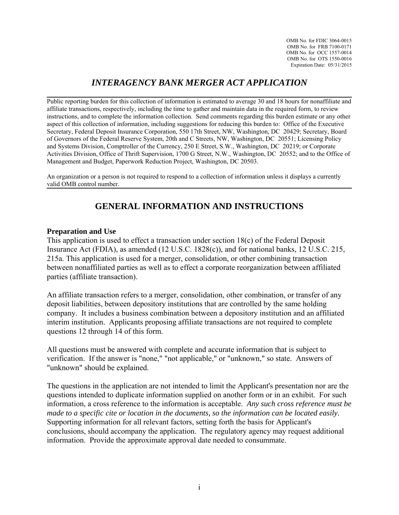OMB No. for FDIC 3064-0015 OMB No. for FRB 7100-0171 OMB No. for OCC 1557-0014 OMB No. for OTS 1550-0016 Expiration Date: 05/31/2015

# *INTERAGENCY BANK MERGER ACT APPLICATION*

Public reporting burden for this collection of information is estimated to average 30 and 18 hours for nonaffiliate and affiliate transactions, respectively, including the time to gather and maintain data in the required form, to review instructions, and to complete the information collection. Send comments regarding this burden estimate or any other aspect of this collection of information, including suggestions for reducing this burden to: Office of the Executive Secretary, Federal Deposit Insurance Corporation, 550 17th Street, NW, Washington, DC 20429; Secretary, Board of Governors of the Federal Reserve System, 20th and C Streets, NW, Washington, DC 20551; Licensing Policy and Systems Division, Comptroller of the Currency, 250 E Street, S.W., Washington, DC 20219; or Corporate Activities Division, Office of Thrift Supervision, 1700 G Street, N.W., Washington, DC 20552; and to the Office of Management and Budget, Paperwork Reduction Project, Washington, DC 20503.

An organization or a person is not required to respond to a collection of information unless it displays a currently valid OMB control number.

## **GENERAL INFORMATION AND INSTRUCTIONS**

#### **Preparation and Use**

This application is used to effect a transaction under section 18(c) of the Federal Deposit Insurance Act (FDIA), as amended (12 U.S.C. 1828(c)), and for national banks, 12 U.S.C. 215, 215a. This application is used for a merger, consolidation, or other combining transaction between nonaffiliated parties as well as to effect a corporate reorganization between affiliated parties (affiliate transaction).

An affiliate transaction refers to a merger, consolidation, other combination, or transfer of any deposit liabilities, between depository institutions that are controlled by the same holding company. It includes a business combination between a depository institution and an affiliated interim institution. Applicants proposing affiliate transactions are not required to complete questions 12 through 14 of this form.

All questions must be answered with complete and accurate information that is subject to verification. If the answer is "none," "not applicable," or "unknown," so state. Answers of "unknown" should be explained.

The questions in the application are not intended to limit the Applicant's presentation nor are the questions intended to duplicate information supplied on another form or in an exhibit. For such information, a cross reference to the information is acceptable. *Any such cross reference must be made to a specific cite or location in the documents, so the information can be located easily.*  Supporting information for all relevant factors, setting forth the basis for Applicant's conclusions, should accompany the application. The regulatory agency may request additional information. Provide the approximate approval date needed to consummate.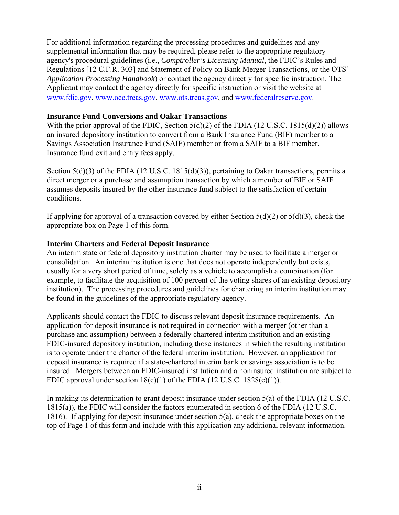For additional information regarding the processing procedures and guidelines and any supplemental information that may be required, please refer to the appropriate regulatory agency's procedural guidelines (i.e., *Comptroller's Licensing Manual*, the FDIC's Rules and Regulations [12 C.F.R. 303] and Statement of Policy on Bank Merger Transactions, or the OTS' *Application Processing Handbook*) or contact the agency directly for specific instruction. The Applicant may contact the agency directly for specific instruction or visit the website at www.fdic.gov, www.occ.treas.gov, www.ots.treas.gov, and www.federalreserve.gov.

### **Insurance Fund Conversions and Oakar Transactions**

With the prior approval of the FDIC, Section 5(d)(2) of the FDIA (12 U.S.C. 1815(d)(2)) allows an insured depository institution to convert from a Bank Insurance Fund (BIF) member to a Savings Association Insurance Fund (SAIF) member or from a SAIF to a BIF member. Insurance fund exit and entry fees apply.

Section 5(d)(3) of the FDIA (12 U.S.C. 1815(d)(3)), pertaining to Oakar transactions, permits a direct merger or a purchase and assumption transaction by which a member of BIF or SAIF assumes deposits insured by the other insurance fund subject to the satisfaction of certain conditions.

If applying for approval of a transaction covered by either Section  $5(d)(2)$  or  $5(d)(3)$ , check the appropriate box on Page 1 of this form.

## **Interim Charters and Federal Deposit Insurance**

An interim state or federal depository institution charter may be used to facilitate a merger or consolidation. An interim institution is one that does not operate independently but exists, usually for a very short period of time, solely as a vehicle to accomplish a combination (for example, to facilitate the acquisition of 100 percent of the voting shares of an existing depository institution). The processing procedures and guidelines for chartering an interim institution may be found in the guidelines of the appropriate regulatory agency.

Applicants should contact the FDIC to discuss relevant deposit insurance requirements. An application for deposit insurance is not required in connection with a merger (other than a purchase and assumption) between a federally chartered interim institution and an existing FDIC-insured depository institution, including those instances in which the resulting institution is to operate under the charter of the federal interim institution. However, an application for deposit insurance is required if a state-chartered interim bank or savings association is to be insured. Mergers between an FDIC-insured institution and a noninsured institution are subject to FDIC approval under section  $18(c)(1)$  of the FDIA (12 U.S.C. 1828(c)(1)).

In making its determination to grant deposit insurance under section 5(a) of the FDIA (12 U.S.C. 1815(a)), the FDIC will consider the factors enumerated in section 6 of the FDIA (12 U.S.C. 1816). If applying for deposit insurance under section 5(a), check the appropriate boxes on the top of Page 1 of this form and include with this application any additional relevant information.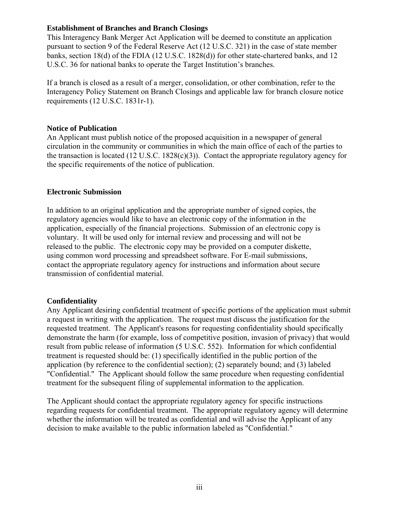## **Establishment of Branches and Branch Closings**

This Interagency Bank Merger Act Application will be deemed to constitute an application pursuant to section 9 of the Federal Reserve Act (12 U.S.C. 321) in the case of state member banks, section 18(d) of the FDIA (12 U.S.C. 1828(d)) for other state-chartered banks, and 12 U.S.C. 36 for national banks to operate the Target Institution's branches.

If a branch is closed as a result of a merger, consolidation, or other combination, refer to the Interagency Policy Statement on Branch Closings and applicable law for branch closure notice requirements (12 U.S.C. 1831r-1).

### **Notice of Publication**

An Applicant must publish notice of the proposed acquisition in a newspaper of general circulation in the community or communities in which the main office of each of the parties to the transaction is located (12 U.S.C. 1828(c)(3)). Contact the appropriate regulatory agency for the specific requirements of the notice of publication.

## **Electronic Submission**

In addition to an original application and the appropriate number of signed copies, the regulatory agencies would like to have an electronic copy of the information in the application, especially of the financial projections. Submission of an electronic copy is voluntary. It will be used only for internal review and processing and will not be released to the public. The electronic copy may be provided on a computer diskette, using common word processing and spreadsheet software. For E-mail submissions, contact the appropriate regulatory agency for instructions and information about secure transmission of confidential material.

## **Confidentiality**

Any Applicant desiring confidential treatment of specific portions of the application must submit a request in writing with the application. The request must discuss the justification for the requested treatment. The Applicant's reasons for requesting confidentiality should specifically demonstrate the harm (for example, loss of competitive position, invasion of privacy) that would result from public release of information (5 U.S.C. 552). Information for which confidential treatment is requested should be: (1) specifically identified in the public portion of the application (by reference to the confidential section); (2) separately bound; and (3) labeled "Confidential." The Applicant should follow the same procedure when requesting confidential treatment for the subsequent filing of supplemental information to the application.

The Applicant should contact the appropriate regulatory agency for specific instructions regarding requests for confidential treatment. The appropriate regulatory agency will determine whether the information will be treated as confidential and will advise the Applicant of any decision to make available to the public information labeled as "Confidential."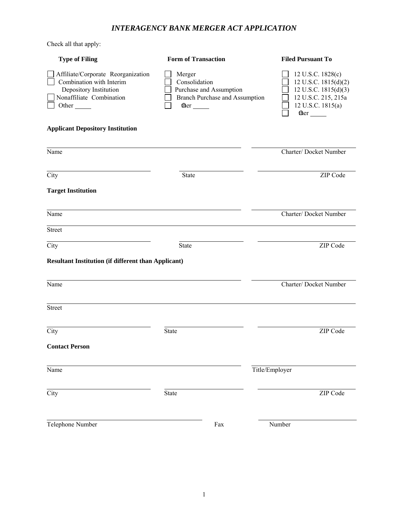## *INTERAGENCY BANK MERGER ACT APPLICATION*

Check all that apply:

| <b>Type of Filing</b>                                                                                                                           | <b>Form of Transaction</b>                                                                  | <b>Filed Pursuant To</b>                                                                                                     |
|-------------------------------------------------------------------------------------------------------------------------------------------------|---------------------------------------------------------------------------------------------|------------------------------------------------------------------------------------------------------------------------------|
| Affiliate/Corporate Reorganization<br>Combination with Interim<br>Depository Institution<br>Nonaffiliate Combination<br>Other <sub>______</sub> | Merger<br>Consolidation<br>Purchase and Assumption<br><b>Branch Purchase and Assumption</b> | 12 U.S.C. 1828(c)<br>12 U.S.C. 1815(d)(2)<br>12 U.S.C. 1815(d)(3)<br>12 U.S.C. 215, 215a<br>12 U.S.C. 1815(a)<br>ther $\_\_$ |
| <b>Applicant Depository Institution</b>                                                                                                         |                                                                                             |                                                                                                                              |
| Name                                                                                                                                            |                                                                                             | Charter/Docket Number                                                                                                        |
| City                                                                                                                                            | <b>State</b>                                                                                | ZIP Code                                                                                                                     |
| <b>Target Institution</b>                                                                                                                       |                                                                                             |                                                                                                                              |
| Name                                                                                                                                            |                                                                                             | Charter/Docket Number                                                                                                        |
| Street                                                                                                                                          |                                                                                             |                                                                                                                              |
| City                                                                                                                                            | <b>State</b>                                                                                | ZIP Code                                                                                                                     |
| <b>Resultant Institution (if different than Applicant)</b>                                                                                      |                                                                                             |                                                                                                                              |
| Name                                                                                                                                            |                                                                                             | Charter/Docket Number                                                                                                        |
| <b>Street</b>                                                                                                                                   |                                                                                             |                                                                                                                              |
| City                                                                                                                                            | <b>State</b>                                                                                | ZIP Code                                                                                                                     |
| <b>Contact Person</b>                                                                                                                           |                                                                                             |                                                                                                                              |
| Name                                                                                                                                            |                                                                                             | Title/Employer                                                                                                               |
| City                                                                                                                                            | State                                                                                       | ZIP Code                                                                                                                     |
| Telephone Number                                                                                                                                | Fax                                                                                         | Number                                                                                                                       |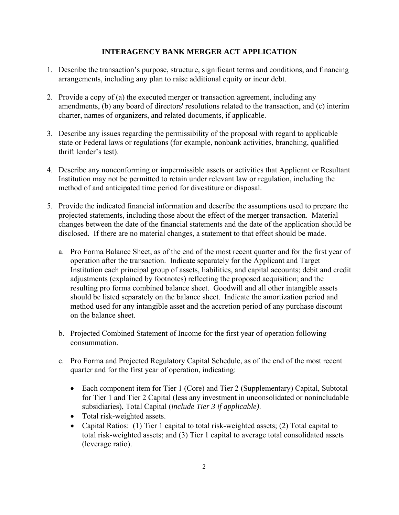## **INTERAGENCY BANK MERGER ACT APPLICATION**

- 1. Describe the transaction's purpose, structure, significant terms and conditions, and financing arrangements, including any plan to raise additional equity or incur debt.
- 2. Provide a copy of (a) the executed merger or transaction agreement, including any amendments, (b) any board of directors' resolutions related to the transaction, and (c) interim charter, names of organizers, and related documents, if applicable.
- 3. Describe any issues regarding the permissibility of the proposal with regard to applicable state or Federal laws or regulations (for example, nonbank activities, branching, qualified thrift lender's test).
- 4. Describe any nonconforming or impermissible assets or activities that Applicant or Resultant Institution may not be permitted to retain under relevant law or regulation, including the method of and anticipated time period for divestiture or disposal.
- 5. Provide the indicated financial information and describe the assumptions used to prepare the projected statements, including those about the effect of the merger transaction. Material changes between the date of the financial statements and the date of the application should be disclosed. If there are no material changes, a statement to that effect should be made.
	- a. Pro Forma Balance Sheet, as of the end of the most recent quarter and for the first year of operation after the transaction. Indicate separately for the Applicant and Target Institution each principal group of assets, liabilities, and capital accounts; debit and credit adjustments (explained by footnotes) reflecting the proposed acquisition; and the resulting pro forma combined balance sheet. Goodwill and all other intangible assets should be listed separately on the balance sheet. Indicate the amortization period and method used for any intangible asset and the accretion period of any purchase discount on the balance sheet.
	- b. Projected Combined Statement of Income for the first year of operation following consummation.
	- c. Pro Forma and Projected Regulatory Capital Schedule, as of the end of the most recent quarter and for the first year of operation, indicating:
		- Each component item for Tier 1 (Core) and Tier 2 (Supplementary) Capital, Subtotal for Tier 1 and Tier 2 Capital (less any investment in unconsolidated or nonincludable subsidiaries), Total Capital (*include Tier 3 if applicable)*.
		- Total risk-weighted assets.
		- Capital Ratios: (1) Tier 1 capital to total risk-weighted assets; (2) Total capital to total risk-weighted assets; and (3) Tier 1 capital to average total consolidated assets (leverage ratio).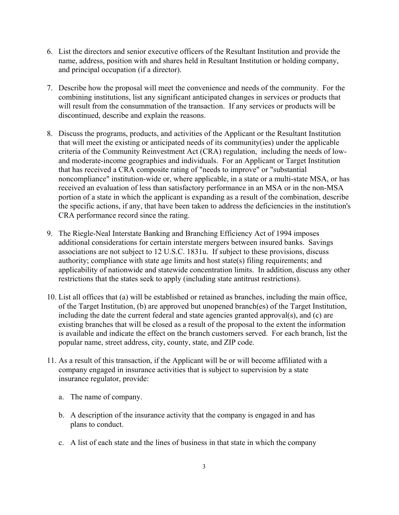- 6. List the directors and senior executive officers of the Resultant Institution and provide the name, address, position with and shares held in Resultant Institution or holding company, and principal occupation (if a director).
- 7. Describe how the proposal will meet the convenience and needs of the community. For the combining institutions, list any significant anticipated changes in services or products that will result from the consummation of the transaction. If any services or products will be discontinued, describe and explain the reasons.
- 8. Discuss the programs, products, and activities of the Applicant or the Resultant Institution that will meet the existing or anticipated needs of its community(ies) under the applicable criteria of the Community Reinvestment Act (CRA) regulation, including the needs of lowand moderate-income geographies and individuals. For an Applicant or Target Institution that has received a CRA composite rating of "needs to improve" or "substantial noncompliance" institution-wide or, where applicable, in a state or a multi-state MSA, or has received an evaluation of less than satisfactory performance in an MSA or in the non-MSA portion of a state in which the applicant is expanding as a result of the combination, describe the specific actions, if any, that have been taken to address the deficiencies in the institution's CRA performance record since the rating.
- 9. The Riegle-Neal Interstate Banking and Branching Efficiency Act of 1994 imposes additional considerations for certain interstate mergers between insured banks. Savings associations are not subject to 12 U.S.C. 1831u. If subject to these provisions, discuss authority; compliance with state age limits and host state(s) filing requirements; and applicability of nationwide and statewide concentration limits. In addition, discuss any other restrictions that the states seek to apply (including state antitrust restrictions).
- 10. List all offices that (a) will be established or retained as branches, including the main office, of the Target Institution, (b) are approved but unopened branch(es) of the Target Institution, including the date the current federal and state agencies granted approval(s), and (c) are existing branches that will be closed as a result of the proposal to the extent the information is available and indicate the effect on the branch customers served. For each branch, list the popular name, street address, city, county, state, and ZIP code.
- 11. As a result of this transaction, if the Applicant will be or will become affiliated with a company engaged in insurance activities that is subject to supervision by a state insurance regulator, provide:
	- a. The name of company.
	- b. A description of the insurance activity that the company is engaged in and has plans to conduct.
	- c. A list of each state and the lines of business in that state in which the company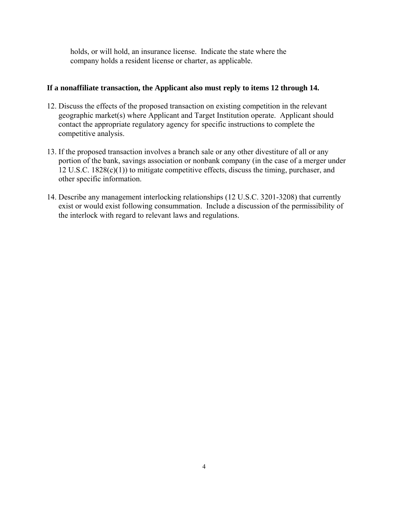holds, or will hold, an insurance license. Indicate the state where the company holds a resident license or charter, as applicable.

### **If a nonaffiliate transaction, the Applicant also must reply to items 12 through 14.**

- 12. Discuss the effects of the proposed transaction on existing competition in the relevant geographic market(s) where Applicant and Target Institution operate. Applicant should contact the appropriate regulatory agency for specific instructions to complete the competitive analysis.
- 13. If the proposed transaction involves a branch sale or any other divestiture of all or any portion of the bank, savings association or nonbank company (in the case of a merger under 12 U.S.C. 1828(c)(1)) to mitigate competitive effects, discuss the timing, purchaser, and other specific information.
- 14. Describe any management interlocking relationships (12 U.S.C. 3201-3208) that currently exist or would exist following consummation. Include a discussion of the permissibility of the interlock with regard to relevant laws and regulations.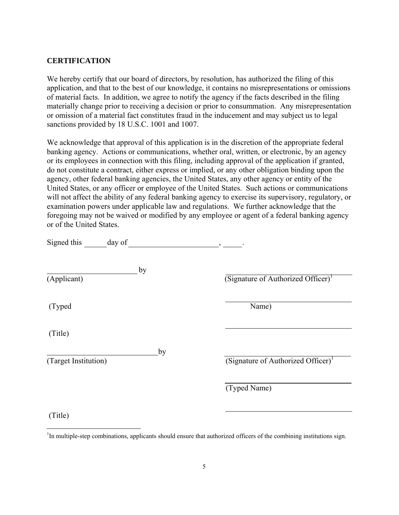#### **CERTIFICATION**

 $\overline{a}$ 

We hereby certify that our board of directors, by resolution, has authorized the filing of this application, and that to the best of our knowledge, it contains no misrepresentations or omissions of material facts. In addition, we agree to notify the agency if the facts described in the filing materially change prior to receiving a decision or prior to consummation. Any misrepresentation or omission of a material fact constitutes fraud in the inducement and may subject us to legal sanctions provided by 18 U.S.C. 1001 and 1007.

We acknowledge that approval of this application is in the discretion of the appropriate federal banking agency. Actions or communications, whether oral, written, or electronic, by an agency or its employees in connection with this filing, including approval of the application if granted, do not constitute a contract, either express or implied, or any other obligation binding upon the agency, other federal banking agencies, the United States, any other agency or entity of the United States, or any officer or employee of the United States. Such actions or communications will not affect the ability of any federal banking agency to exercise its supervisory, regulatory, or examination powers under applicable law and regulations. We further acknowledge that the foregoing may not be waived or modified by any employee or agent of a federal banking agency or of the United States.

| by                   |                                                |
|----------------------|------------------------------------------------|
| (Applicant)          | (Signature of Authorized Officer) <sup>1</sup> |
| (Typed               | Name)                                          |
| (Title)              |                                                |
| by                   |                                                |
| (Target Institution) | (Signature of Authorized Officer) <sup>1</sup> |
|                      | (Typed Name)                                   |
| (Title)              |                                                |

<sup>&</sup>lt;sup>1</sup>In multiple-step combinations, applicants should ensure that authorized officers of the combining institutions sign.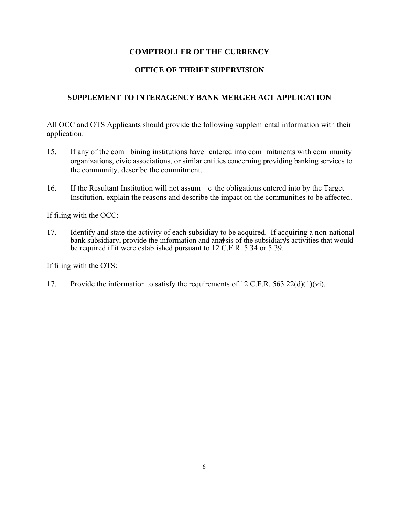## **COMPTROLLER OF THE CURRENCY**

## **OFFICE OF THRIFT SUPERVISION**

## **SUPPLEMENT TO INTERAGENCY BANK MERGER ACT APPLICATION**

All OCC and OTS Applicants should provide the following supplem ental information with their application:

- 15. If any of the com bining institutions have entered into com mitments with com munity organizations, civic associations, or similar entities concerning providing banking services to the community, describe the commitment.
- 16. If the Resultant Institution will not assum e the obligations entered into by the Target Institution, explain the reasons and describe the impact on the communities to be affected.

If filing with the OCC:

17. Identify and state the activity of each subsidiary to be acquired. If acquiring a non-national bank subsidiary, provide the information and analysis of the subsidiary's activities that would be required if it were established pursuant to 12 C.F.R. 5.34 or 5.39.

If filing with the OTS:

17. Provide the information to satisfy the requirements of 12 C.F.R. 563.22(d)(1)(vi).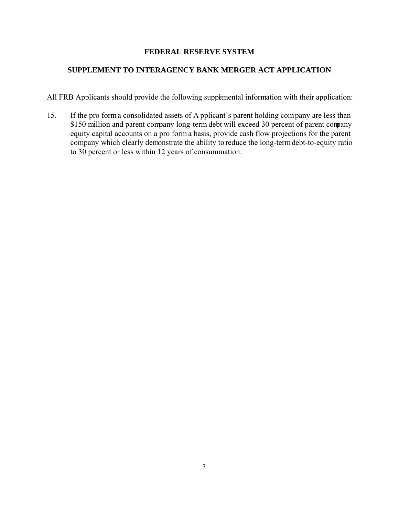## **FEDERAL RESERVE SYSTEM**

## **SUPPLEMENT TO INTERAGENCY BANK MERGER ACT APPLICATION**

All FRB Applicants should provide the following supplemental information with their application:

15. If the pro forma consolidated assets of A pplicant's parent holding company are less than \$150 million and parent company long-term debt will exceed 30 percent of parent company equity capital accounts on a pro form a basis, provide cash flow projections for the parent company which clearly demonstrate the ability to reduce the long-term debt-to-equity ratio to 30 percent or less within 12 years of consummation.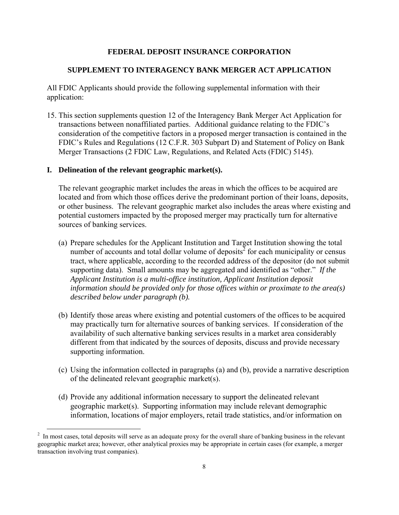#### **FEDERAL DEPOSIT INSURANCE CORPORATION**

#### **SUPPLEMENT TO INTERAGENCY BANK MERGER ACT APPLICATION**

All FDIC Applicants should provide the following supplemental information with their application:

15. This section supplements question 12 of the Interagency Bank Merger Act Application for transactions between nonaffiliated parties. Additional guidance relating to the FDIC's consideration of the competitive factors in a proposed merger transaction is contained in the FDIC's Rules and Regulations (12 C.F.R. 303 Subpart D) and Statement of Policy on Bank Merger Transactions (2 FDIC Law, Regulations, and Related Acts (FDIC) 5145).

#### **I. Delineation of the relevant geographic market(s).**

The relevant geographic market includes the areas in which the offices to be acquired are located and from which those offices derive the predominant portion of their loans, deposits, or other business. The relevant geographic market also includes the areas where existing and potential customers impacted by the proposed merger may practically turn for alternative sources of banking services.

- (a) Prepare schedules for the Applicant Institution and Target Institution showing the total number of accounts and total dollar volume of deposits<sup> $2$ </sup> for each municipality or census tract, where applicable, according to the recorded address of the depositor (do not submit supporting data). Small amounts may be aggregated and identified as "other." *If the Applicant Institution is a multi-office institution, Applicant Institution deposit information should be provided only for those offices within or proximate to the area(s) described below under paragraph (b).*
- (b) Identify those areas where existing and potential customers of the offices to be acquired may practically turn for alternative sources of banking services. If consideration of the availability of such alternative banking services results in a market area considerably different from that indicated by the sources of deposits, discuss and provide necessary supporting information.
- (c) Using the information collected in paragraphs (a) and (b), provide a narrative description of the delineated relevant geographic market(s).
- (d) Provide any additional information necessary to support the delineated relevant geographic market(s). Supporting information may include relevant demographic information, locations of major employers, retail trade statistics, and/or information on

<sup>&</sup>lt;sup>2</sup> In most cases, total deposits will serve as an adequate proxy for the overall share of banking business in the relevant geographic market area; however, other analytical proxies may be appropriate in certain cases (for example, a merger transaction involving trust companies).